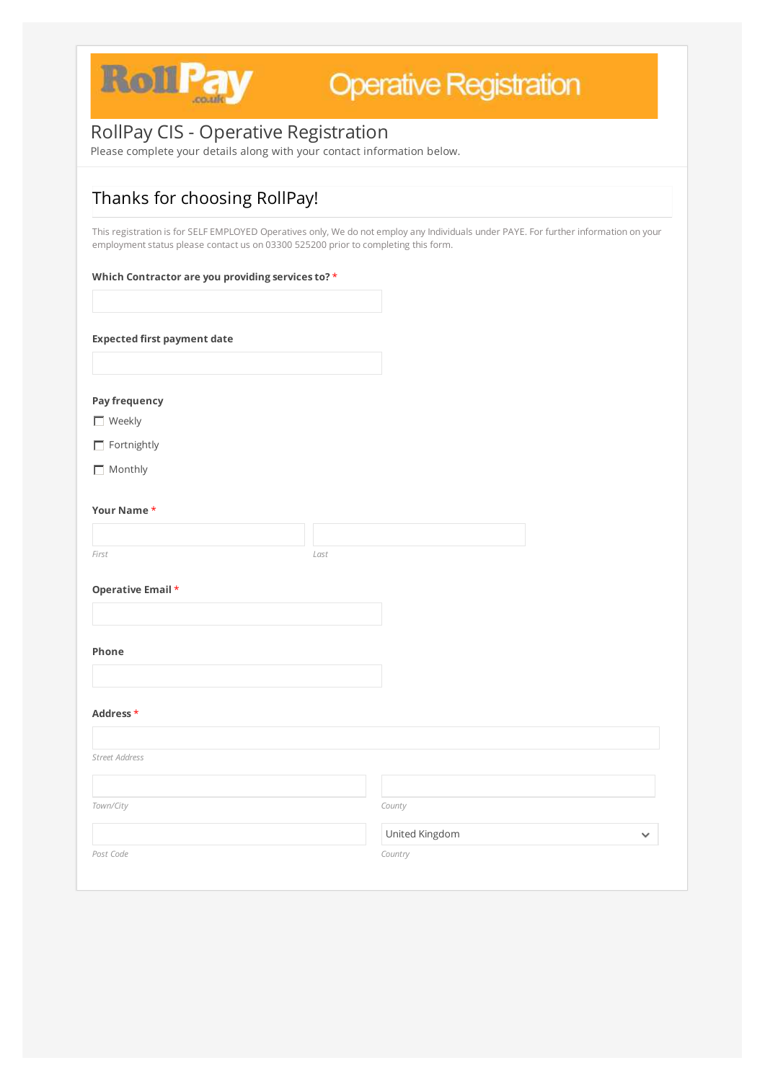

## RollPay CIS - Operative Registration

Please complete your details along with your contact information below.

## Thanks for choosing RollPay!

This registration is for SELF EMPLOYED Operatives only, We do not employ any Individuals under PAYE. For further information on your employment status please contact us on 03300 525200 prior to completing this form.

### **Which Contractor are you providing services to?** \*

**Expected first payment date**

**Pay frequency**

**Neekly** 

 $\Box$  Fortnightly

 $\Box$  Monthly

#### **Your Name** \*

*First Last*

### **Operative Email** \*

**Phone**

**Address** \*

| <b>LOCUT CON</b>      |                       |              |
|-----------------------|-----------------------|--------------|
|                       |                       |              |
| <b>Street Address</b> |                       |              |
|                       |                       |              |
| Town/City             | County                |              |
|                       | <b>United Kingdom</b> | $\checkmark$ |
| Post Code             | Country               |              |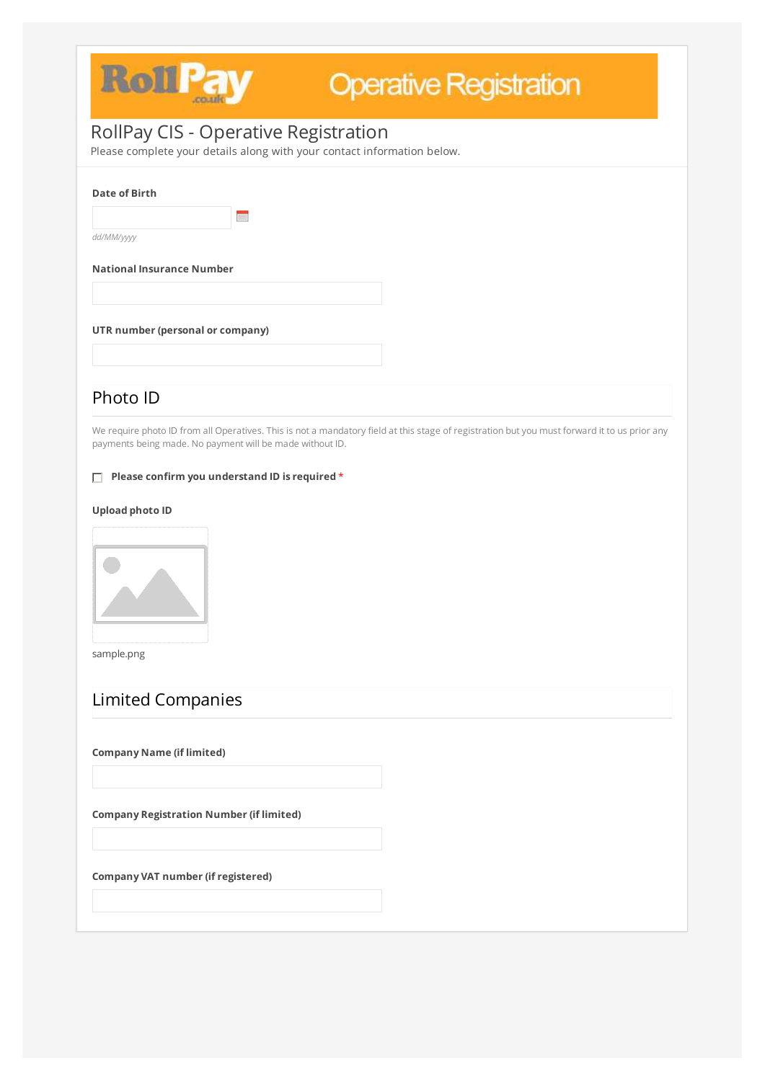

## RollPay CIS - Operative Registration

Please complete your details along with your contact information below.

#### **Date of Birth**

E

*dd/MM/yyyy*

**National Insurance Number**

### **UTR number (personal or company)**

## Photo ID

We require photo ID from all Operatives. This is not a mandatory field at this stage of registration but you must forward it to us prior any payments being made. No payment will be made without ID.

**Please confirm you understand ID is required** \*

### **Upload photo ID**



sample.png

## Limited Companies

**Company Name (if limited)**

**Company Registration Number (if limited)**

**Company VAT number (if registered)**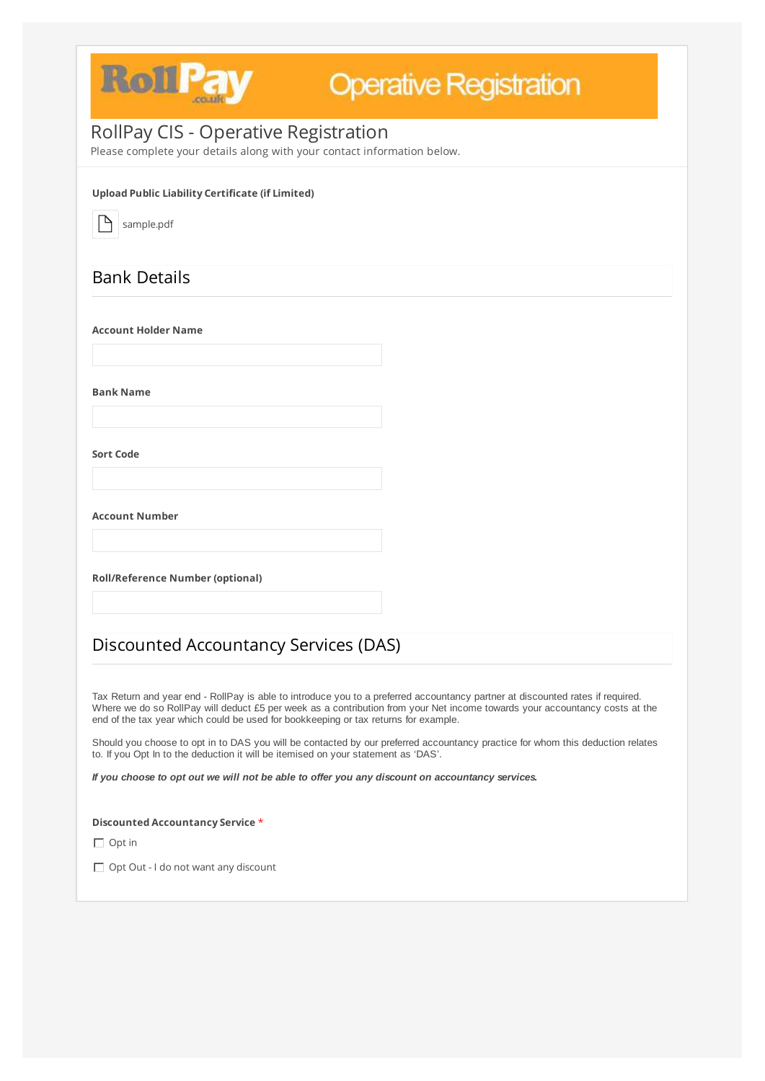

Tax Return and year end - RollPay is able to introduce you to a preferred accountancy partner at discounted rates if required. Where we do so RollPay will deduct £5 per week as a contribution from your Net income towards your accountancy costs at the

end of the tax year which could be used for bookkeeping or tax returns for example.

Should you choose to opt in to DAS you will be contacted by our preferred accountancy practice for whom this deduction relates to. If you Opt In to the deduction it will be itemised on your statement as 'DAS'.

If you choose to opt out we will not be able to offer you any discount on accountancy services.

**Discounted Accountancy Service** \*

 $\Box$  Opt in

 $\Box$  Opt Out - I do not want any discount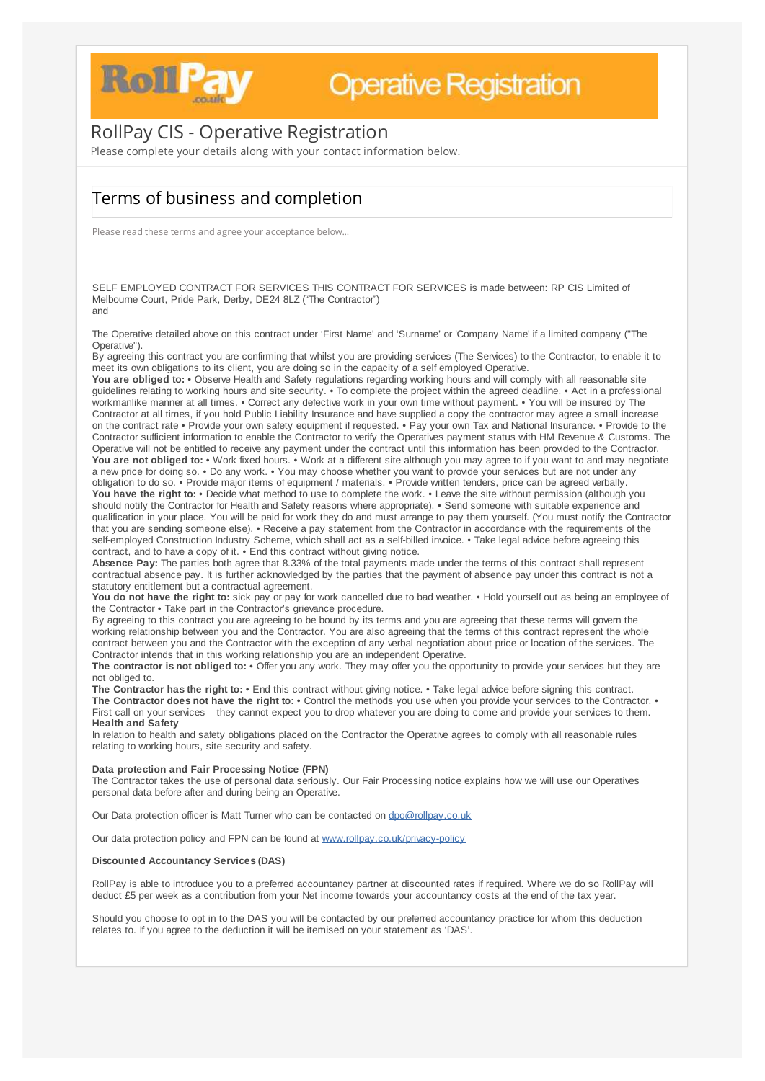

## RollPay CIS - Operative Registration

Please complete your details along with your contact information below.

## Terms of business and completion

Please read these terms and agree your acceptance below...

SELF EMPLOYED CONTRACT FOR SERVICES THIS CONTRACT FOR SERVICES is made between: RP CIS Limited of Melbourne Court, Pride Park, Derby, DE24 8LZ ("The Contractor") and

By agreeing this contract you are confirming that whilst you are providing services (The Services) to the Contractor, to enable it to meet its own obligations to its client, you are doing so in the capacity of a self employed Operative.

The Operative detailed above on this contract under 'First Name' and 'Surname' or 'Company Name' if a limited company ("The Operative").

**You are obliged to:** • Observe Health and Safety regulations regarding working hours and will comply with all reasonable site guidelines relating to working hours and site security. • To complete the project within the agreed deadline. • Act in a professional workmanlike manner at all times. • Correct any defective work in your own time without payment. • You will be insured by The Contractor at all times, if you hold Public Liability Insurance and have supplied a copy the contractor may agree a small increase on the contract rate • Provide your own safety equipment if requested. • Pay your own Tax and National Insurance. • Provide to the Contractor sufficient information to enable the Contractor to verify the Operatives payment status with HM Revenue & Customs. The Operative will not be entitled to receive any payment under the contract until this information has been provided to the Contractor. **You are not obliged to:** • Work fixed hours. • Work at a different site although you may agree to if you want to and may negotiate a new price for doing so. • Do any work. • You may choose whether you want to provide your services but are not under any obligation to do so. • Provide major items of equipment / materials. • Provide written tenders, price can be agreed verbally. **You have the right to:** • Decide what method to use to complete the work. • Leave the site without permission (although you should notify the Contractor for Health and Safety reasons where appropriate). • Send someone with suitable experience and qualification in your place. You will be paid for work they do and must arrange to pay them yourself. (You must notify the Contractor that you are sending someone else). • Receive a pay statement from the Contractor in accordance with the requirements of the self-employed Construction Industry Scheme, which shall act as a self-billed invoice. • Take legal advice before agreeing this contract, and to have a copy of it. • End this contract without giving notice.

**Absence Pay:** The parties both agree that 8.33% of the total payments made under the terms of this contract shall represent contractual absence pay. It is further acknowledged by the parties that the payment of absence pay under this contract is not a statutory entitlement but a contractual agreement.

**You do not have the right to:** sick pay or pay for work cancelled due to bad weather. • Hold yourself out as being an employee of the Contractor • Take part in the Contractor's grievance procedure.

By agreeing to this contract you are agreeing to be bound by its terms and you are agreeing that these terms will govern the working relationship between you and the Contractor. You are also agreeing that the terms of this contract represent the whole contract between you and the Contractor with the exception of any verbal negotiation about price or location of the services. The Contractor intends that in this working relationship you are an independent Operative.

**The contractor is not obliged to:** • Offer you any work. They may offer you the opportunity to provide your services but they are not obliged to.

**The Contractor has the right to:** • End this contract without giving notice. • Take legal advice before signing this contract. **The Contractor does not have the right to:** • Control the methods you use when you provide your services to the Contractor. • First call on your services – they cannot expect you to drop whatever you are doing to come and provide your services to them. **Health and Safety** In relation to health and safety obligations placed on the Contractor the Operative agrees to comply with all reasonable rules relating to working hours, site security and safety.

#### **Data protection and Fair Processing Notice (FPN)**

The Contractor takes the use of personal data seriously. Our Fair Processing notice explains how we will use our Operatives personal data before after and during being an Operative.

Our Data protection officer is Matt Turner who can be contacted on [dpo@rollpay.co.uk](mailto:dpo@rollpay.co.uk)

Our data protection policy and FPN can be found at [www.rollpay.co.uk/privacy-policy](http://www.rollpay.co.uk/privacy-policy)

#### **Discounted Accountancy Services (DAS)**

RollPay is able to introduce you to a preferred accountancy partner at discounted rates if required. Where we do so RollPay will deduct £5 per week as a contribution from your Net income towards your accountancy costs at the end of the tax year.

Should you choose to opt in to the DAS you will be contacted by our preferred accountancy practice for whom this deduction relates to. If you agree to the deduction it will be itemised on your statement as 'DAS'.